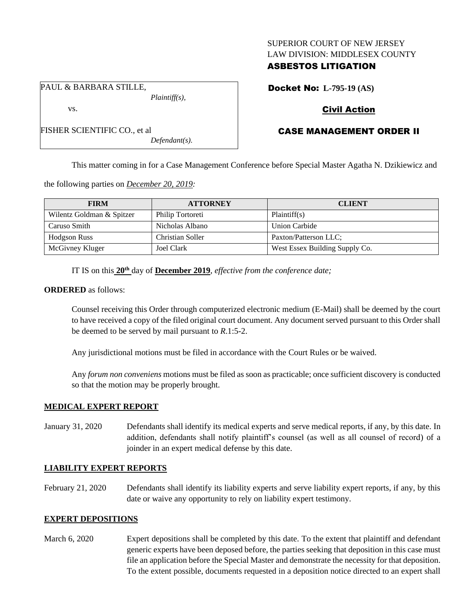#### SUPERIOR COURT OF NEW JERSEY LAW DIVISION: MIDDLESEX COUNTY

## ASBESTOS LITIGATION

PAUL & BARBARA STILLE,

FISHER SCIENTIFIC CO., et al

vs.

Docket No: **L-795-19 (AS)**

# Civil Action

# CASE MANAGEMENT ORDER II

This matter coming in for a Case Management Conference before Special Master Agatha N. Dzikiewicz and

the following parties on *December 20, 2019:*

*Plaintiff(s),*

*Defendant(s).*

| <b>FIRM</b>               | <b>ATTORNEY</b>  | <b>CLIENT</b>                  |
|---------------------------|------------------|--------------------------------|
| Wilentz Goldman & Spitzer | Philip Tortoreti | Plaintiff(s)                   |
| Caruso Smith              | Nicholas Albano  | <b>Union Carbide</b>           |
| <b>Hodgson Russ</b>       | Christian Soller | Paxton/Patterson LLC;          |
| McGivney Kluger           | Joel Clark       | West Essex Building Supply Co. |

IT IS on this **20th** day of **December 2019**, *effective from the conference date;*

#### **ORDERED** as follows:

Counsel receiving this Order through computerized electronic medium (E-Mail) shall be deemed by the court to have received a copy of the filed original court document. Any document served pursuant to this Order shall be deemed to be served by mail pursuant to *R*.1:5-2.

Any jurisdictional motions must be filed in accordance with the Court Rules or be waived.

Any *forum non conveniens* motions must be filed as soon as practicable; once sufficient discovery is conducted so that the motion may be properly brought.

### **MEDICAL EXPERT REPORT**

January 31, 2020 Defendants shall identify its medical experts and serve medical reports, if any, by this date. In addition, defendants shall notify plaintiff's counsel (as well as all counsel of record) of a joinder in an expert medical defense by this date.

## **LIABILITY EXPERT REPORTS**

February 21, 2020 Defendants shall identify its liability experts and serve liability expert reports, if any, by this date or waive any opportunity to rely on liability expert testimony.

### **EXPERT DEPOSITIONS**

March 6, 2020 Expert depositions shall be completed by this date. To the extent that plaintiff and defendant generic experts have been deposed before, the parties seeking that deposition in this case must file an application before the Special Master and demonstrate the necessity for that deposition. To the extent possible, documents requested in a deposition notice directed to an expert shall